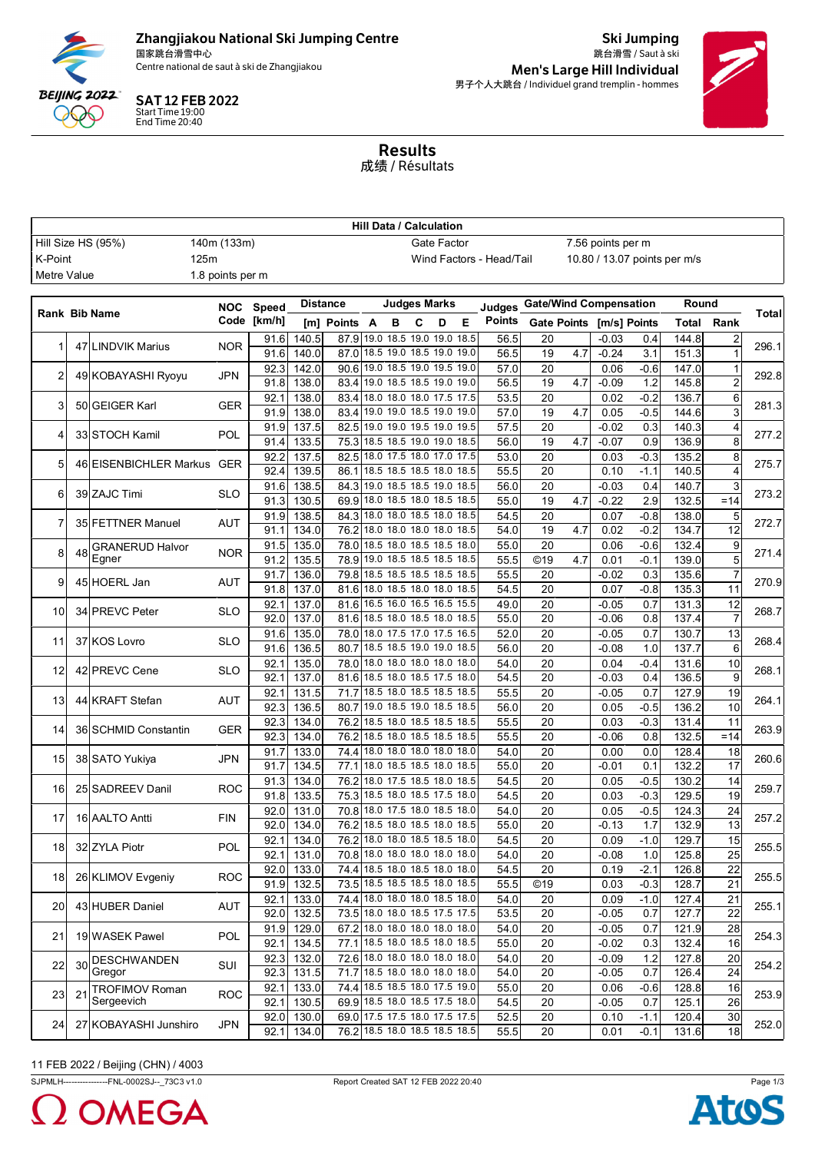

## Zhangjiakou National Ski Jumping Centre

国家跳台滑雪中心<br>Centre national de saut à ski de Zhangjiakou

SAT 12 FEB 2022 Start Time 19:00 End Time 20:40

跳台滑雪 / Saut à ski Men's Large Hill Individual 男子个人大跳台 / Individuel grand tremplin - hommes

Ski Jumping



Results 成绩 / Résultats

| <b>Hill Data / Calculation</b>    |    |                                                 |                  |                                                                                    |                |                 |      |                                                           |                                                          |       |              |               |                               |     |                    |               |                |                 |       |
|-----------------------------------|----|-------------------------------------------------|------------------|------------------------------------------------------------------------------------|----------------|-----------------|------|-----------------------------------------------------------|----------------------------------------------------------|-------|--------------|---------------|-------------------------------|-----|--------------------|---------------|----------------|-----------------|-------|
| Hill Size HS (95%)<br>140m (133m) |    |                                                 |                  | Gate Factor<br>7.56 points per m                                                   |                |                 |      |                                                           |                                                          |       |              |               |                               |     |                    |               |                |                 |       |
| 125m<br>K-Point                   |    |                                                 |                  |                                                                                    |                |                 |      |                                                           | 10.80 / 13.07 points per m/s<br>Wind Factors - Head/Tail |       |              |               |                               |     |                    |               |                |                 |       |
| Metre Value                       |    |                                                 | 1.8 points per m |                                                                                    |                |                 |      |                                                           |                                                          |       |              |               |                               |     |                    |               |                |                 |       |
|                                   |    |                                                 |                  |                                                                                    |                | <b>Distance</b> |      | Judges Marks                                              |                                                          |       |              |               | <b>Gate/Wind Compensation</b> |     |                    |               |                | Round           |       |
|                                   |    | <b>Rank Bib Name</b>                            |                  | NOC Speed                                                                          |                |                 |      |                                                           |                                                          |       |              | Judaes        |                               |     |                    |               |                |                 | Total |
|                                   |    |                                                 |                  | Code [km/h]                                                                        |                | [m] Points A    |      | B                                                         | С                                                        | D     | Е            | <b>Points</b> | <b>Gate Points</b>            |     |                    | [m/s] Points  | Total          | Rank            |       |
| 1                                 |    | 47 LINDVIK Marius                               | <b>NOR</b>       | 91.6<br>91.6                                                                       | 140.5<br>140.0 | 87.9<br>87.0    | 19.0 | 18.5 19.0 19.0<br>18.5 19.0 18.5 19.0                     |                                                          |       | 18.5<br>19.0 | 56.5<br>56.5  | 20<br>19                      | 4.7 | $-0.03$<br>$-0.24$ | 0.4<br>3.1    | 144.8<br>151.3 |                 | 296.1 |
|                                   |    |                                                 |                  | 92.3                                                                               | 142.0          | 90.6            |      | 19.0 18.5 19.0 19.5 19.0                                  |                                                          |       |              | 57.0          | 20                            |     | 0.06               | $-0.6$        | 147.0          | $\mathbf{1}$    |       |
| 2                                 |    | 49 KOBAYASHI Ryoyu                              | JPN              | 91.8                                                                               | 138.0          | 83.4            |      | 19.0 18.5 18.5 19.0                                       |                                                          |       | 19.0         | 56.5          | 19                            | 4.7 | $-0.09$            | 1.2           | 145.8          | $\overline{2}$  | 292.8 |
|                                   |    |                                                 |                  | 92.1                                                                               | 138.0          |                 |      | 83.4 18.0 18.0 18.0 17.5 17.5                             |                                                          |       |              | 53.5          | 20                            |     | 0.02               | $-0.2$        | 136.7          | 6               |       |
| 3                                 |    | 50 GEIGER Karl                                  | GER              | 91.9                                                                               | 138.0          | 83.4            |      | 19.0 19.0 18.5 19.0 19.0                                  |                                                          |       |              | 57.0          | 19                            | 4.7 | 0.05               | $-0.5$        | 144.6          | 3               | 281.3 |
|                                   |    |                                                 |                  | 91.9                                                                               | 137.5          | 82.5            |      | 19.0 19.0 19.5 19.0 19.5                                  |                                                          |       |              | 57.5          | 20                            |     | $-0.02$            | 0.3           | 140.3          | 4               |       |
| $\overline{4}$                    |    | 33 STOCH Kamil                                  | POL              | 91.4                                                                               | 133.5          |                 |      | 75.3 18.5 18.5 19.0 19.0 18.5                             |                                                          |       |              | 56.0          | 19                            | 4.7 | $-0.07$            | 0.9           | 136.9          | 8               | 277.2 |
| 5                                 |    | 46 EISENBICHLER Markus GER                      |                  | 92.2                                                                               | 137.5          |                 |      | 82.5 18.0 17.5 18.0 17.0 17.5                             |                                                          |       |              | 53.0          | 20                            |     | 0.03               | $-0.3$        | 135.2          | 8               | 275.7 |
|                                   |    |                                                 |                  | 92.4                                                                               | 139.5          | 86.1            |      | 18.5 18.5 18.5 18.0                                       |                                                          |       | 18.5         | 55.5          | 20                            |     | 0.10               | $-1.1$        | 140.5          |                 |       |
| 6                                 |    | 39 ZAJC Timi                                    | SLO              | 91.6                                                                               | 138.5          | 84.3            |      | 19.0 18.5 18.5 19.0                                       |                                                          |       | 18.5         | 56.0          | 20                            |     | $-0.03$            | 0.4           | 140.7          | 3               | 273.2 |
|                                   |    |                                                 |                  | 91.3                                                                               | 130.5          | 69.9            |      | 18.0 18.5 18.0 18.5 18.5                                  |                                                          |       |              | 55.0          | 19                            | 4.7 | $-0.22$            | 2.9           | 132.5          | $=14$           |       |
| 7                                 |    | 35 FETTNER Manuel                               | AUT              | 91.9                                                                               | 138.5          |                 |      | 84.3 18.0 18.0 18.5 18.0                                  |                                                          |       | 18.5         | 54.5          | 20                            |     | 0.07               | $-0.8$        | 138.0          | 5               | 272.7 |
|                                   |    |                                                 |                  | 91.1                                                                               | 134.0          |                 |      | 76.2 18.0 18.0 18.0 18.0                                  |                                                          |       | 18.5         | 54.0          | 19                            | 4.7 | 0.02               | $-0.2$        | 134.7          | 12              |       |
| 8                                 | 48 | <b>GRANERUD Halvor</b><br>Egner<br>45 HOERL Jan | <b>NOR</b>       | 91.5                                                                               | 135.0          | 78.0            |      | 18.5 18.0 18.5 18.5                                       |                                                          |       | 18.0         | 55.0          | 20                            |     | 0.06               | $-0.6$        | 132.4          | 9               | 271.4 |
|                                   |    |                                                 |                  | 135.5<br>19.0 18.5 18.5 18.5 18.5<br>91.2<br>78.9<br>79.8 18.5 18.5 18.5 18.5 18.5 | 55.5           | ©19             | 4.7  | 0.01                                                      | $-0.1$                                                   | 139.0 | 5            |               |                               |     |                    |               |                |                 |       |
| 9                                 |    |                                                 | AUT              | 91.7<br>91.8                                                                       | 136.0<br>137.0 |                 |      | 81.6 18.0 18.5 18.0 18.0 18.5                             |                                                          |       |              | 55.5<br>54.5  | 20<br>20                      |     | $-0.02$<br>0.07    | 0.3<br>$-0.8$ | 135.6<br>135.3 | 11              | 270.9 |
|                                   |    |                                                 |                  | 92.1                                                                               | 137.0          |                 |      | 81.6 16.5 16.0 16.5 16.5 15.5                             |                                                          |       |              | 49.0          | 20                            |     | $-0.05$            | 0.7           | 131.3          | 12              |       |
| 10                                |    | 34 PREVC Peter                                  | <b>SLO</b>       | 92.0                                                                               | 137.0          | 81.6            |      | 18.5 18.0 18.5 18.0 18.5                                  |                                                          |       |              | 55.0          | 20                            |     | $-0.06$            | 0.8           | 137.4          | $\overline{7}$  | 268.7 |
|                                   |    |                                                 |                  | 91.6                                                                               | 135.0          | 78.0            |      | 18.0 17.5 17.0 17.5 16.5                                  |                                                          |       |              | 52.0          | 20                            |     | $-0.05$            | 0.7           | 130.7          | 13              |       |
| 11                                |    | 37 KOS Lovro                                    | SLO              | 91.6                                                                               | 136.5          | 80.7            |      | 18.5 18.5 19.0 19.0 18.5                                  |                                                          |       |              | 56.0          | 20                            |     | $-0.08$            | 1.0           | 137.7          | 6               | 268.4 |
|                                   |    |                                                 |                  | 92.1                                                                               | 135.0          |                 |      | 78.0 18.0 18.0 18.0 18.0 18.0                             |                                                          |       |              | 54.0          | 20                            |     | 0.04               | $-0.4$        | 131.6          | 10              |       |
| 12                                |    | 42 PREVC Cene                                   | SLO              | 92.1                                                                               | 137.0          |                 |      | 81.6 18.5 18.0 18.5 17.5                                  |                                                          |       | 18.0         | 54.5          | 20                            |     | $-0.03$            | 0.4           | 136.5          | 9               | 268.1 |
|                                   |    |                                                 |                  | 92.1                                                                               | 131.5          | 71.7            |      | 18.5 18.0 18.5 18.5                                       |                                                          |       | 18.5         | 55.5          | 20                            |     | $-0.05$            | 0.7           | 127.9          | 19              | 264.1 |
| 13                                |    | 44 KRAFT Stefan                                 | AUT              | 92.3                                                                               | 136.5          | 80.7            |      | 19.0 18.5 19.0 18.5 18.5                                  |                                                          |       |              | 56.0          | 20                            |     | 0.05               | $-0.5$        | 136.2          | 10              |       |
| 14                                |    | 36 SCHMID Constantin                            | <b>GER</b>       | 92.3                                                                               | 134.0          | 76.2            |      | 18.5 18.0 18.5 18.5 18.5                                  |                                                          |       |              | 55.5          | 20                            |     | 0.03               | $-0.3$        | 131.4          | 11              | 263.9 |
|                                   |    |                                                 |                  | 92.3                                                                               | 134.0          | 76.2            |      | 18.5 18.0 18.5 18.5 18.5                                  |                                                          |       |              | 55.5          | 20                            |     | $-0.06$            | 0.8           | 132.5          | $=14$           |       |
| 15                                |    | 38 SATO Yukiya                                  | JPN              | 91.7                                                                               | 133.0          | 74.4            |      | 18.0 18.0 18.0 18.0                                       |                                                          |       | 18.0         | 54.0          | 20                            |     | 0.00               | 0.0           | 128.4          | 18              | 260.6 |
|                                   |    |                                                 |                  | 91.7                                                                               | 134.5          | 77.1            |      | 18.0 18.5 18.5 18.0 18.5                                  |                                                          |       |              | 55.0          | 20                            |     | $-0.01$            | 0.1           | 132.2          | 17              |       |
| 16                                |    | 25 SADREEV Danil                                | <b>ROC</b>       | 91.3                                                                               | 134.0          | 76.2            |      | 18.0 17.5 18.5 18.0                                       |                                                          |       | 18.5         | 54.5          | 20                            |     | 0.05               | $-0.5$        | 130.2          | 14              | 259.7 |
|                                   |    |                                                 |                  | 91.8                                                                               | 133.5          |                 |      | 75.3 18.5 18.0 18.5 17.5 18.0<br>70.8 18.0 17.5 18.0 18.5 |                                                          |       | 18.0         | 54.5          | 20                            |     | 0.03               | $-0.3$        | 129.5          | 19              |       |
| 17                                |    | 16 AALTO Antti                                  | FIN              | 92.0<br>92.0                                                                       | 131.0<br>134.0 |                 |      | 76.2 18.5 18.0 18.5 18.0 18.5                             |                                                          |       |              | 54.0<br>55.0  | 20<br>20                      |     | 0.05<br>$-0.13$    | $-0.5$<br>1.7 | 124.3<br>132.9 | 24<br>13        | 257.2 |
|                                   |    |                                                 |                  | 92.1                                                                               | 134.0          |                 |      | 76.2 18.0 18.0 18.5 18.5 18.0                             |                                                          |       |              | 54.5          | 20                            |     | 0.09               | $-1.0$        | 129.7          | 15              |       |
| 18 <sup>l</sup>                   |    | 32 ZYLA Piotr                                   | POL              | 92.1                                                                               | 131.0          |                 |      | 70.8 18.0 18.0 18.0 18.0 18.0                             |                                                          |       |              | 54.0          | 20                            |     | $-0.08$            | 1.0           | 125.8          | $\overline{25}$ | 255.5 |
|                                   |    |                                                 |                  | 92.0                                                                               | 133.0          |                 |      | 74.4 18.5 18.0 18.5 18.0 18.0                             |                                                          |       |              | 54.5          | 20                            |     | 0.19               | $-2.1$        | 126.8          | 22              |       |
| 18                                |    | 26 KLIMOV Evgeniy                               | ROC              | 91.9                                                                               | 132.5          |                 |      | 73.5 18.5 18.5 18.5 18.0 18.5                             |                                                          |       |              | 55.5          | ©19                           |     | 0.03               | $-0.3$        | 128.7          | 21              | 255.5 |
|                                   |    |                                                 |                  | 92.1                                                                               | 133.0          |                 |      | 74.4 18.0 18.0 18.0 18.5 18.0                             |                                                          |       |              | 54.0          | 20                            |     | 0.09               | $-1.0$        | 127.4          | 21              |       |
| 20                                |    | 43 HUBER Daniel                                 | AUT              | 92.0                                                                               | 132.5          |                 |      | 73.5 18.0 18.0 18.5 17.5 17.5                             |                                                          |       |              | 53.5          | 20                            |     | $-0.05$            | 0.7           | 127.7          | 22              | 255.1 |
|                                   |    |                                                 | <b>POL</b>       | 91.9                                                                               | 129.0          |                 |      | 67.2 18.0 18.0 18.0 18.0 18.0                             |                                                          |       |              | 54.0          | 20                            |     | $-0.05$            | 0.7           | 121.9          | 28              |       |
| 21                                |    | 19 WASEK Pawel                                  |                  | 92.1                                                                               | 134.5          |                 |      | 77.1 18.5 18.0 18.5 18.0 18.5                             |                                                          |       |              | 55.0          | 20                            |     | $-0.02$            | 0.3           | 132.4          | 16              | 254.3 |
| 22                                |    | 30 DESCHWANDEN                                  | SUI              | 92.3                                                                               | 132.0          |                 |      | 72.6 18.0 18.0 18.0 18.0 18.0                             |                                                          |       |              | 54.0          | 20                            |     | $-0.09$            | 1.2           | 127.8          | 20              | 254.2 |
|                                   |    | Gregor                                          |                  | 92.3                                                                               | 131.5          |                 |      | 71.7 18.5 18.0 18.0 18.0 18.0                             |                                                          |       |              | 54.0          | 20                            |     | $-0.05$            | 0.7           | 126.4          | 24              |       |
| 23                                |    | 21 TROFIMOV Roman                               | <b>ROC</b>       | 92.1                                                                               | 133.0          |                 |      | 74.4 18.5 18.5 18.0 17.5 19.0                             |                                                          |       |              | 55.0          | 20                            |     | 0.06               | $-0.6$        | 128.8          | 16              | 253.9 |
|                                   |    | Sergeevich                                      |                  | 92.1                                                                               | 130.5          |                 |      | 69.9 18.5 18.0 18.5 17.5 18.0                             |                                                          |       |              | 54.5          | 20                            |     | $-0.05$            | 0.7           | 125.1          | 26              |       |
| 24                                |    | 27 KOBAYASHI Junshiro                           | <b>JPN</b>       | 92.0                                                                               | 130.0          |                 |      | 69.0 17.5 17.5 18.0 17.5 17.5                             |                                                          |       |              | 52.5          | 20                            |     | 0.10               | $-1.1$        | 120.4          | 30              | 252.0 |
|                                   |    |                                                 |                  | 92.1                                                                               | 134.0          |                 |      | 76.2 18.5 18.0 18.5 18.5 18.5                             |                                                          |       |              | 55.5          | 20                            |     | 0.01               | $-0.1$        | 131.6          | 18              |       |

### 11 FEB 2022 / Beijing (CHN) / 4003

SJPMLH-----------------FNL-0002SJ--\_73C3 v1.0 Report Created SAT 12 FEB 2022 20:40 Page 1/3



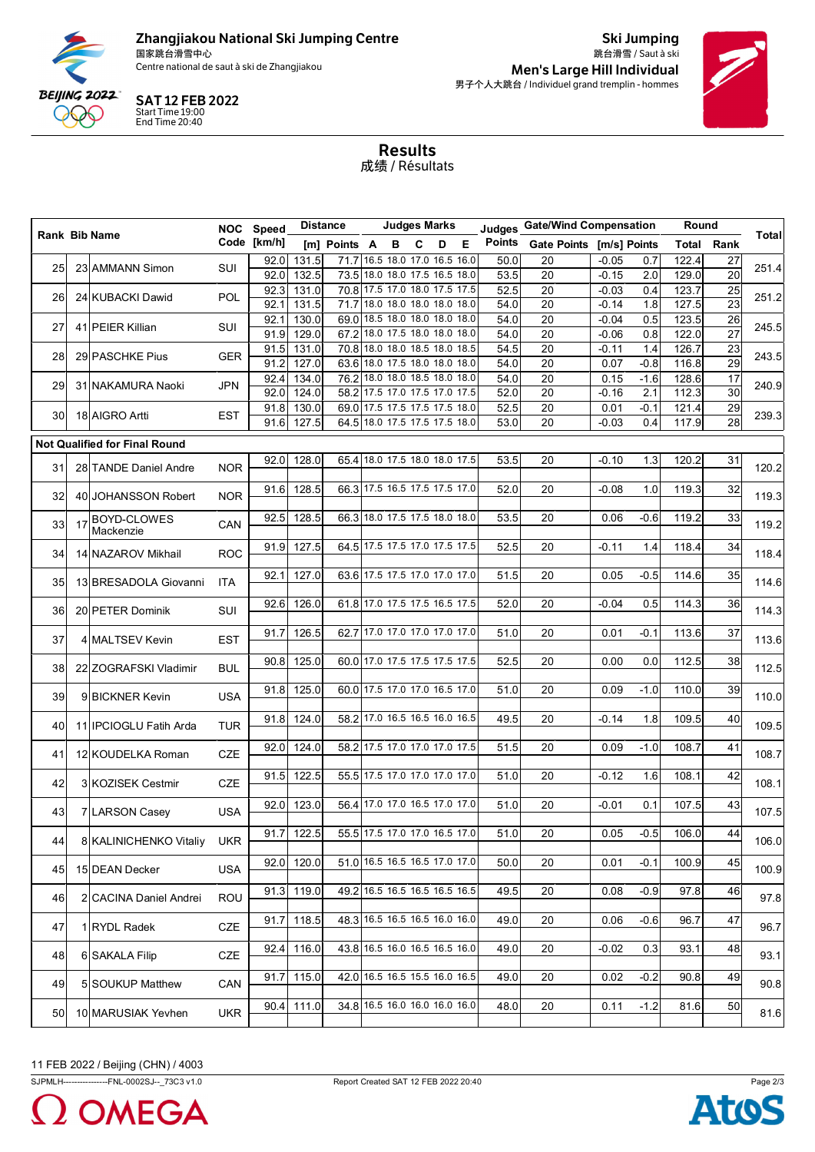

# Zhangjiakou National Ski Jumping Centre

国家跳台滑雪中心<br>Centre national de saut à ski de Zhangjiakou



Ski Jumping 跳台滑雪 / Saut à ski Men's Large Hill Individual 男子个人大跳台 / Individuel grand tremplin - hommes



Results 成绩 / Résultats

| <b>Total</b><br>Rank Bib Name<br>Code [km/h]<br>Points Gate Points [m/s] Points<br>Е<br>[m] Points A<br>C<br>Total<br>Rank<br>в<br>D<br>71.7 16.5 18.0 17.0 16.5 16.0<br>131.5<br>50.0<br>$-0.05$<br>122.4<br>92.0<br>20<br>0.7<br>27<br>SUI<br>251.4<br>25<br>23 AMMANN Simon<br>$\overline{20}$<br>132.5<br>73.5 18.0 18.0 17.5 16.5 18.0<br>53.5<br>20<br>129.0<br>92.0<br>$-0.15$<br>2.0<br>70.8 17.5 17.0 18.0 17.5 17.5<br>52.5<br>123.7<br>92.3<br>131.0<br>20<br>$-0.03$<br>25<br>0.4<br>251.2<br>POL<br>26<br>24 KUBACKI Dawid<br>71.7 18.0 18.0 18.0 18.0 18.0<br>23<br>92.1<br>131.5<br>54.0<br>20<br>$-0.14$<br>1.8<br>127.5<br>69.0 18.5 18.0 18.0 18.0 18.0<br>54.0<br>20<br>$-0.04$<br>0.5<br>123.5<br>26<br>92.1<br>130.0<br>245.5<br>41 PEIER Killian<br>SUI<br>27<br>$\overline{27}$<br>67.2 18.0 17.5 18.0 18.0 18.0<br>129.0<br>54.0<br>20<br>0.8<br>122.0<br>91.9<br>$-0.06$<br>70.8 18.0 18.0 18.5 18.0 18.5<br>54.5<br>20<br>126.7<br>23<br>131.0<br>$-0.11$<br>1.4<br>91.5<br>243.5<br>29 PASCHKE Pius<br><b>GER</b><br>28<br>$\overline{29}$<br>63.6 18.0 17.5 18.0 18.0 18.0<br>91.2<br>127.0<br>54.0<br>20<br>0.07<br>$-0.8$<br>116.8<br>76.2 18.0 18.0 18.5 18.0 18.0<br>92.4<br>134.0<br>54.0<br>20<br>128.6<br>17<br>0.15<br>$-1.6$<br>240.9<br>29<br>31 NAKAMURA Naoki<br><b>JPN</b><br>58.2 17.5 17.0 17.5 17.0 17.5<br>30<br>124.0<br>52.0<br>112.3<br>92.0<br>20<br>$-0.16$<br>2.1<br>69.0 17.5 17.5 17.5 17.5 18.0<br>29<br>130.0<br>52.5<br>20<br>0.01<br>$-0.1$<br>121.4<br>91.8<br>239.3<br>18 AIGRO Artti<br>EST<br>30<br>28<br>127.5<br>64.5 18.0 17.5 17.5 17.5 18.0<br>53.0<br>20<br>117.9<br>$-0.03$<br>0.4<br>91.6<br><b>Not Qualified for Final Round</b><br>65.4 18.0 17.5 18.0 18.0 17.5<br>128.0<br>53.5<br>92.0<br>20<br>$-0.10$<br>1.3<br>120.2<br>31<br><b>NOR</b><br>120.2<br>31<br>28 TANDE Daniel Andre<br>66.3 17.5 16.5 17.5 17.5 17.0<br>52.0<br>91.6<br>128.5<br>20<br>1.0<br>119.3<br>32<br>$-0.08$<br><b>NOR</b><br>119.3<br>32<br>40 JOHANSSON Robert<br>66.3 18.0 17.5 17.5 18.0 18.0<br>53.5<br>33<br>92.5<br>128.5<br>20<br>0.06<br>$-0.6$<br>119.2<br>17 BOYD-CLOWES<br>CAN<br>119.2<br>33<br>64.5 17.5 17.5 17.0 17.5 17.5<br>52.5<br>34<br>91.9<br>127.5<br>20<br>$-0.11$<br>118.4<br>1.4<br>118.4<br>14 NAZAROV Mikhail<br><b>ROC</b><br>34<br>127.0<br>63.6 17.5 17.5 17.0 17.0 17.0<br>51.5<br>35<br>92.1<br>20<br>0.05<br>$-0.5$<br>114.6<br>114.6<br>13 BRESADOLA Giovanni<br><b>ITA</b><br>35<br>61.8 17.0 17.5 17.5 16.5 17.5<br>52.0<br>20<br>114.3<br>92.6<br>126.0<br>$-0.04$<br>0.5<br>36<br>SUI<br>114.3<br>20 PETER Dominik<br>36<br>126.5<br>62.7 17.0 17.0 17.0 17.0 17.0<br>51.0<br>113.6<br>37<br>20<br>0.01<br>$-0.1$<br>91.7<br>113.6<br>4 MALTSEV Kevin<br><b>EST</b><br>37<br>90.8<br>125.0<br>60.0 17.0 17.5 17.5 17.5 17.5<br>52.5<br>20<br>112.5<br>38<br>0.00<br>0.0<br>112.5<br>22 ZOGRAFSKI Vladimir<br><b>BUL</b><br>38<br>60.0 17.5 17.0 17.0 16.5 17.0<br>125.0<br>39<br>91.8<br>51.0<br>20<br>0.09<br>$-1.0$<br>110.0<br>110.0<br>39<br>9 BICKNER Kevin<br><b>USA</b><br>58.2 17.0 16.5 16.5 16.0 16.5<br>91.8<br>124.0<br>49.5<br>20<br>1.8<br>109.5<br>40<br>$-0.14$<br><b>TUR</b><br>11 <b>IPCIOGLU</b> Fatih Arda<br>40<br>58.2 17.5 17.0 17.0 17.0 17.5<br>124.0<br>51.5<br>92.0<br>20<br>0.09<br>$-1.0$<br>108.7<br>41<br>12 KOUDELKA Roman<br>CZE<br>41<br>91.5<br>122.5<br>55.5 17.5 17.0 17.0 17.0 17.0<br>51.0<br>20<br>$-0.12$<br>108.1<br>42<br>1.6<br>CZE<br>42<br>3 KOZISEK Cestmir<br>92.0<br>123.0<br>56.4 17.0 17.0 16.5 17.0 17.0<br>51.0<br>0.1<br>107.5<br>43<br>20<br>$-0.01$<br><b>USA</b><br>43<br>7 LARSON Casey<br>91.7 122.5<br>51.0<br>$-0.5$<br>106.0<br>55.5 17.5 17.0 17.0 16.5 17.0<br>20<br>$0.05\,$<br>44<br>8 KALINICHENKO Vitaliy<br>44<br><b>UKR</b><br>92.0 120.0<br>51.0 16.5 16.5 16.5 17.0 17.0<br>50.0<br>20<br>0.01<br>$-0.1$<br>100.9<br>45<br>45<br>15 DEAN Decker<br><b>USA</b><br>49.2 16.5 16.5 16.5 16.5 16.5<br>91.3 119.0<br>49.5<br>20<br>97.8<br>0.08<br>$-0.9$<br>46<br><b>ROU</b><br>46<br>2 CACINA Daniel Andrei<br>118.5<br>48.3 16.5 16.5 16.5 16.0 16.0<br>49.0<br>$-0.6$<br>47<br>20<br>0.06<br>96.7<br>91.7<br>CZE<br>47<br>1 RYDL Radek<br>43.8 16.5 16.0 16.5 16.5 16.0<br>116.0<br>49.0<br>$-0.02$<br>92.4<br>20<br>0.3<br>93.1<br>48<br>CZE<br>48<br>6 SAKALA Filip<br>42.0 16.5 16.5 15.5 16.0 16.5<br>115.0<br>49.0<br>20<br>0.02<br>$-0.2$<br>90.8<br>49<br>91.7<br>5 SOUKUP Matthew<br>49<br>CAN<br>34.8 16.5 16.0 16.0 16.0 16.0<br>111.0<br>48.0<br>20<br>$-1.2$<br>90.4<br>0.11<br>81.6<br>50<br>10 MARUSIAK Yevhen<br><b>UKR</b><br>50 |  |  | NOC Speed |  | <b>Distance</b> |  | <b>Judges Marks</b> |  |  |  | Judges_Gate/Wind Compensation |  |  | Round |  |  |
|------------------------------------------------------------------------------------------------------------------------------------------------------------------------------------------------------------------------------------------------------------------------------------------------------------------------------------------------------------------------------------------------------------------------------------------------------------------------------------------------------------------------------------------------------------------------------------------------------------------------------------------------------------------------------------------------------------------------------------------------------------------------------------------------------------------------------------------------------------------------------------------------------------------------------------------------------------------------------------------------------------------------------------------------------------------------------------------------------------------------------------------------------------------------------------------------------------------------------------------------------------------------------------------------------------------------------------------------------------------------------------------------------------------------------------------------------------------------------------------------------------------------------------------------------------------------------------------------------------------------------------------------------------------------------------------------------------------------------------------------------------------------------------------------------------------------------------------------------------------------------------------------------------------------------------------------------------------------------------------------------------------------------------------------------------------------------------------------------------------------------------------------------------------------------------------------------------------------------------------------------------------------------------------------------------------------------------------------------------------------------------------------------------------------------------------------------------------------------------------------------------------------------------------------------------------------------------------------------------------------------------------------------------------------------------------------------------------------------------------------------------------------------------------------------------------------------------------------------------------------------------------------------------------------------------------------------------------------------------------------------------------------------------------------------------------------------------------------------------------------------------------------------------------------------------------------------------------------------------------------------------------------------------------------------------------------------------------------------------------------------------------------------------------------------------------------------------------------------------------------------------------------------------------------------------------------------------------------------------------------------------------------------------------------------------------------------------------------------------------------------------------------------------------------------------------------------------------------------------------------------------------------------------------------------------------------------------------------------------------------------------------------------------------------------------------------------------------------------------------------------------------------------------------------------------------------------------------------------------------------------------------------------------------------------------------------------------------------------------------------------------------------------------------------------------------------------------------------------------------------------------------------------------------------------------------------------------------------------------------|--|--|-----------|--|-----------------|--|---------------------|--|--|--|-------------------------------|--|--|-------|--|--|
|                                                                                                                                                                                                                                                                                                                                                                                                                                                                                                                                                                                                                                                                                                                                                                                                                                                                                                                                                                                                                                                                                                                                                                                                                                                                                                                                                                                                                                                                                                                                                                                                                                                                                                                                                                                                                                                                                                                                                                                                                                                                                                                                                                                                                                                                                                                                                                                                                                                                                                                                                                                                                                                                                                                                                                                                                                                                                                                                                                                                                                                                                                                                                                                                                                                                                                                                                                                                                                                                                                                                                                                                                                                                                                                                                                                                                                                                                                                                                                                                                                                                                                                                                                                                                                                                                                                                                                                                                                                                                                                                                                                                                  |  |  |           |  |                 |  |                     |  |  |  |                               |  |  |       |  |  |
|                                                                                                                                                                                                                                                                                                                                                                                                                                                                                                                                                                                                                                                                                                                                                                                                                                                                                                                                                                                                                                                                                                                                                                                                                                                                                                                                                                                                                                                                                                                                                                                                                                                                                                                                                                                                                                                                                                                                                                                                                                                                                                                                                                                                                                                                                                                                                                                                                                                                                                                                                                                                                                                                                                                                                                                                                                                                                                                                                                                                                                                                                                                                                                                                                                                                                                                                                                                                                                                                                                                                                                                                                                                                                                                                                                                                                                                                                                                                                                                                                                                                                                                                                                                                                                                                                                                                                                                                                                                                                                                                                                                                                  |  |  |           |  |                 |  |                     |  |  |  |                               |  |  |       |  |  |
|                                                                                                                                                                                                                                                                                                                                                                                                                                                                                                                                                                                                                                                                                                                                                                                                                                                                                                                                                                                                                                                                                                                                                                                                                                                                                                                                                                                                                                                                                                                                                                                                                                                                                                                                                                                                                                                                                                                                                                                                                                                                                                                                                                                                                                                                                                                                                                                                                                                                                                                                                                                                                                                                                                                                                                                                                                                                                                                                                                                                                                                                                                                                                                                                                                                                                                                                                                                                                                                                                                                                                                                                                                                                                                                                                                                                                                                                                                                                                                                                                                                                                                                                                                                                                                                                                                                                                                                                                                                                                                                                                                                                                  |  |  |           |  |                 |  |                     |  |  |  |                               |  |  |       |  |  |
|                                                                                                                                                                                                                                                                                                                                                                                                                                                                                                                                                                                                                                                                                                                                                                                                                                                                                                                                                                                                                                                                                                                                                                                                                                                                                                                                                                                                                                                                                                                                                                                                                                                                                                                                                                                                                                                                                                                                                                                                                                                                                                                                                                                                                                                                                                                                                                                                                                                                                                                                                                                                                                                                                                                                                                                                                                                                                                                                                                                                                                                                                                                                                                                                                                                                                                                                                                                                                                                                                                                                                                                                                                                                                                                                                                                                                                                                                                                                                                                                                                                                                                                                                                                                                                                                                                                                                                                                                                                                                                                                                                                                                  |  |  |           |  |                 |  |                     |  |  |  |                               |  |  |       |  |  |
|                                                                                                                                                                                                                                                                                                                                                                                                                                                                                                                                                                                                                                                                                                                                                                                                                                                                                                                                                                                                                                                                                                                                                                                                                                                                                                                                                                                                                                                                                                                                                                                                                                                                                                                                                                                                                                                                                                                                                                                                                                                                                                                                                                                                                                                                                                                                                                                                                                                                                                                                                                                                                                                                                                                                                                                                                                                                                                                                                                                                                                                                                                                                                                                                                                                                                                                                                                                                                                                                                                                                                                                                                                                                                                                                                                                                                                                                                                                                                                                                                                                                                                                                                                                                                                                                                                                                                                                                                                                                                                                                                                                                                  |  |  |           |  |                 |  |                     |  |  |  |                               |  |  |       |  |  |
|                                                                                                                                                                                                                                                                                                                                                                                                                                                                                                                                                                                                                                                                                                                                                                                                                                                                                                                                                                                                                                                                                                                                                                                                                                                                                                                                                                                                                                                                                                                                                                                                                                                                                                                                                                                                                                                                                                                                                                                                                                                                                                                                                                                                                                                                                                                                                                                                                                                                                                                                                                                                                                                                                                                                                                                                                                                                                                                                                                                                                                                                                                                                                                                                                                                                                                                                                                                                                                                                                                                                                                                                                                                                                                                                                                                                                                                                                                                                                                                                                                                                                                                                                                                                                                                                                                                                                                                                                                                                                                                                                                                                                  |  |  |           |  |                 |  |                     |  |  |  |                               |  |  |       |  |  |
|                                                                                                                                                                                                                                                                                                                                                                                                                                                                                                                                                                                                                                                                                                                                                                                                                                                                                                                                                                                                                                                                                                                                                                                                                                                                                                                                                                                                                                                                                                                                                                                                                                                                                                                                                                                                                                                                                                                                                                                                                                                                                                                                                                                                                                                                                                                                                                                                                                                                                                                                                                                                                                                                                                                                                                                                                                                                                                                                                                                                                                                                                                                                                                                                                                                                                                                                                                                                                                                                                                                                                                                                                                                                                                                                                                                                                                                                                                                                                                                                                                                                                                                                                                                                                                                                                                                                                                                                                                                                                                                                                                                                                  |  |  |           |  |                 |  |                     |  |  |  |                               |  |  |       |  |  |
|                                                                                                                                                                                                                                                                                                                                                                                                                                                                                                                                                                                                                                                                                                                                                                                                                                                                                                                                                                                                                                                                                                                                                                                                                                                                                                                                                                                                                                                                                                                                                                                                                                                                                                                                                                                                                                                                                                                                                                                                                                                                                                                                                                                                                                                                                                                                                                                                                                                                                                                                                                                                                                                                                                                                                                                                                                                                                                                                                                                                                                                                                                                                                                                                                                                                                                                                                                                                                                                                                                                                                                                                                                                                                                                                                                                                                                                                                                                                                                                                                                                                                                                                                                                                                                                                                                                                                                                                                                                                                                                                                                                                                  |  |  |           |  |                 |  |                     |  |  |  |                               |  |  |       |  |  |
|                                                                                                                                                                                                                                                                                                                                                                                                                                                                                                                                                                                                                                                                                                                                                                                                                                                                                                                                                                                                                                                                                                                                                                                                                                                                                                                                                                                                                                                                                                                                                                                                                                                                                                                                                                                                                                                                                                                                                                                                                                                                                                                                                                                                                                                                                                                                                                                                                                                                                                                                                                                                                                                                                                                                                                                                                                                                                                                                                                                                                                                                                                                                                                                                                                                                                                                                                                                                                                                                                                                                                                                                                                                                                                                                                                                                                                                                                                                                                                                                                                                                                                                                                                                                                                                                                                                                                                                                                                                                                                                                                                                                                  |  |  |           |  |                 |  |                     |  |  |  |                               |  |  |       |  |  |
|                                                                                                                                                                                                                                                                                                                                                                                                                                                                                                                                                                                                                                                                                                                                                                                                                                                                                                                                                                                                                                                                                                                                                                                                                                                                                                                                                                                                                                                                                                                                                                                                                                                                                                                                                                                                                                                                                                                                                                                                                                                                                                                                                                                                                                                                                                                                                                                                                                                                                                                                                                                                                                                                                                                                                                                                                                                                                                                                                                                                                                                                                                                                                                                                                                                                                                                                                                                                                                                                                                                                                                                                                                                                                                                                                                                                                                                                                                                                                                                                                                                                                                                                                                                                                                                                                                                                                                                                                                                                                                                                                                                                                  |  |  |           |  |                 |  |                     |  |  |  |                               |  |  |       |  |  |
|                                                                                                                                                                                                                                                                                                                                                                                                                                                                                                                                                                                                                                                                                                                                                                                                                                                                                                                                                                                                                                                                                                                                                                                                                                                                                                                                                                                                                                                                                                                                                                                                                                                                                                                                                                                                                                                                                                                                                                                                                                                                                                                                                                                                                                                                                                                                                                                                                                                                                                                                                                                                                                                                                                                                                                                                                                                                                                                                                                                                                                                                                                                                                                                                                                                                                                                                                                                                                                                                                                                                                                                                                                                                                                                                                                                                                                                                                                                                                                                                                                                                                                                                                                                                                                                                                                                                                                                                                                                                                                                                                                                                                  |  |  |           |  |                 |  |                     |  |  |  |                               |  |  |       |  |  |
|                                                                                                                                                                                                                                                                                                                                                                                                                                                                                                                                                                                                                                                                                                                                                                                                                                                                                                                                                                                                                                                                                                                                                                                                                                                                                                                                                                                                                                                                                                                                                                                                                                                                                                                                                                                                                                                                                                                                                                                                                                                                                                                                                                                                                                                                                                                                                                                                                                                                                                                                                                                                                                                                                                                                                                                                                                                                                                                                                                                                                                                                                                                                                                                                                                                                                                                                                                                                                                                                                                                                                                                                                                                                                                                                                                                                                                                                                                                                                                                                                                                                                                                                                                                                                                                                                                                                                                                                                                                                                                                                                                                                                  |  |  |           |  |                 |  |                     |  |  |  |                               |  |  |       |  |  |
|                                                                                                                                                                                                                                                                                                                                                                                                                                                                                                                                                                                                                                                                                                                                                                                                                                                                                                                                                                                                                                                                                                                                                                                                                                                                                                                                                                                                                                                                                                                                                                                                                                                                                                                                                                                                                                                                                                                                                                                                                                                                                                                                                                                                                                                                                                                                                                                                                                                                                                                                                                                                                                                                                                                                                                                                                                                                                                                                                                                                                                                                                                                                                                                                                                                                                                                                                                                                                                                                                                                                                                                                                                                                                                                                                                                                                                                                                                                                                                                                                                                                                                                                                                                                                                                                                                                                                                                                                                                                                                                                                                                                                  |  |  |           |  |                 |  |                     |  |  |  |                               |  |  |       |  |  |
|                                                                                                                                                                                                                                                                                                                                                                                                                                                                                                                                                                                                                                                                                                                                                                                                                                                                                                                                                                                                                                                                                                                                                                                                                                                                                                                                                                                                                                                                                                                                                                                                                                                                                                                                                                                                                                                                                                                                                                                                                                                                                                                                                                                                                                                                                                                                                                                                                                                                                                                                                                                                                                                                                                                                                                                                                                                                                                                                                                                                                                                                                                                                                                                                                                                                                                                                                                                                                                                                                                                                                                                                                                                                                                                                                                                                                                                                                                                                                                                                                                                                                                                                                                                                                                                                                                                                                                                                                                                                                                                                                                                                                  |  |  |           |  |                 |  |                     |  |  |  |                               |  |  |       |  |  |
|                                                                                                                                                                                                                                                                                                                                                                                                                                                                                                                                                                                                                                                                                                                                                                                                                                                                                                                                                                                                                                                                                                                                                                                                                                                                                                                                                                                                                                                                                                                                                                                                                                                                                                                                                                                                                                                                                                                                                                                                                                                                                                                                                                                                                                                                                                                                                                                                                                                                                                                                                                                                                                                                                                                                                                                                                                                                                                                                                                                                                                                                                                                                                                                                                                                                                                                                                                                                                                                                                                                                                                                                                                                                                                                                                                                                                                                                                                                                                                                                                                                                                                                                                                                                                                                                                                                                                                                                                                                                                                                                                                                                                  |  |  |           |  |                 |  |                     |  |  |  |                               |  |  |       |  |  |
|                                                                                                                                                                                                                                                                                                                                                                                                                                                                                                                                                                                                                                                                                                                                                                                                                                                                                                                                                                                                                                                                                                                                                                                                                                                                                                                                                                                                                                                                                                                                                                                                                                                                                                                                                                                                                                                                                                                                                                                                                                                                                                                                                                                                                                                                                                                                                                                                                                                                                                                                                                                                                                                                                                                                                                                                                                                                                                                                                                                                                                                                                                                                                                                                                                                                                                                                                                                                                                                                                                                                                                                                                                                                                                                                                                                                                                                                                                                                                                                                                                                                                                                                                                                                                                                                                                                                                                                                                                                                                                                                                                                                                  |  |  |           |  |                 |  |                     |  |  |  |                               |  |  |       |  |  |
|                                                                                                                                                                                                                                                                                                                                                                                                                                                                                                                                                                                                                                                                                                                                                                                                                                                                                                                                                                                                                                                                                                                                                                                                                                                                                                                                                                                                                                                                                                                                                                                                                                                                                                                                                                                                                                                                                                                                                                                                                                                                                                                                                                                                                                                                                                                                                                                                                                                                                                                                                                                                                                                                                                                                                                                                                                                                                                                                                                                                                                                                                                                                                                                                                                                                                                                                                                                                                                                                                                                                                                                                                                                                                                                                                                                                                                                                                                                                                                                                                                                                                                                                                                                                                                                                                                                                                                                                                                                                                                                                                                                                                  |  |  |           |  |                 |  |                     |  |  |  |                               |  |  |       |  |  |
|                                                                                                                                                                                                                                                                                                                                                                                                                                                                                                                                                                                                                                                                                                                                                                                                                                                                                                                                                                                                                                                                                                                                                                                                                                                                                                                                                                                                                                                                                                                                                                                                                                                                                                                                                                                                                                                                                                                                                                                                                                                                                                                                                                                                                                                                                                                                                                                                                                                                                                                                                                                                                                                                                                                                                                                                                                                                                                                                                                                                                                                                                                                                                                                                                                                                                                                                                                                                                                                                                                                                                                                                                                                                                                                                                                                                                                                                                                                                                                                                                                                                                                                                                                                                                                                                                                                                                                                                                                                                                                                                                                                                                  |  |  |           |  |                 |  |                     |  |  |  |                               |  |  |       |  |  |
|                                                                                                                                                                                                                                                                                                                                                                                                                                                                                                                                                                                                                                                                                                                                                                                                                                                                                                                                                                                                                                                                                                                                                                                                                                                                                                                                                                                                                                                                                                                                                                                                                                                                                                                                                                                                                                                                                                                                                                                                                                                                                                                                                                                                                                                                                                                                                                                                                                                                                                                                                                                                                                                                                                                                                                                                                                                                                                                                                                                                                                                                                                                                                                                                                                                                                                                                                                                                                                                                                                                                                                                                                                                                                                                                                                                                                                                                                                                                                                                                                                                                                                                                                                                                                                                                                                                                                                                                                                                                                                                                                                                                                  |  |  |           |  |                 |  |                     |  |  |  |                               |  |  |       |  |  |
|                                                                                                                                                                                                                                                                                                                                                                                                                                                                                                                                                                                                                                                                                                                                                                                                                                                                                                                                                                                                                                                                                                                                                                                                                                                                                                                                                                                                                                                                                                                                                                                                                                                                                                                                                                                                                                                                                                                                                                                                                                                                                                                                                                                                                                                                                                                                                                                                                                                                                                                                                                                                                                                                                                                                                                                                                                                                                                                                                                                                                                                                                                                                                                                                                                                                                                                                                                                                                                                                                                                                                                                                                                                                                                                                                                                                                                                                                                                                                                                                                                                                                                                                                                                                                                                                                                                                                                                                                                                                                                                                                                                                                  |  |  |           |  |                 |  |                     |  |  |  |                               |  |  |       |  |  |
|                                                                                                                                                                                                                                                                                                                                                                                                                                                                                                                                                                                                                                                                                                                                                                                                                                                                                                                                                                                                                                                                                                                                                                                                                                                                                                                                                                                                                                                                                                                                                                                                                                                                                                                                                                                                                                                                                                                                                                                                                                                                                                                                                                                                                                                                                                                                                                                                                                                                                                                                                                                                                                                                                                                                                                                                                                                                                                                                                                                                                                                                                                                                                                                                                                                                                                                                                                                                                                                                                                                                                                                                                                                                                                                                                                                                                                                                                                                                                                                                                                                                                                                                                                                                                                                                                                                                                                                                                                                                                                                                                                                                                  |  |  |           |  |                 |  |                     |  |  |  |                               |  |  |       |  |  |
|                                                                                                                                                                                                                                                                                                                                                                                                                                                                                                                                                                                                                                                                                                                                                                                                                                                                                                                                                                                                                                                                                                                                                                                                                                                                                                                                                                                                                                                                                                                                                                                                                                                                                                                                                                                                                                                                                                                                                                                                                                                                                                                                                                                                                                                                                                                                                                                                                                                                                                                                                                                                                                                                                                                                                                                                                                                                                                                                                                                                                                                                                                                                                                                                                                                                                                                                                                                                                                                                                                                                                                                                                                                                                                                                                                                                                                                                                                                                                                                                                                                                                                                                                                                                                                                                                                                                                                                                                                                                                                                                                                                                                  |  |  |           |  |                 |  |                     |  |  |  |                               |  |  |       |  |  |
|                                                                                                                                                                                                                                                                                                                                                                                                                                                                                                                                                                                                                                                                                                                                                                                                                                                                                                                                                                                                                                                                                                                                                                                                                                                                                                                                                                                                                                                                                                                                                                                                                                                                                                                                                                                                                                                                                                                                                                                                                                                                                                                                                                                                                                                                                                                                                                                                                                                                                                                                                                                                                                                                                                                                                                                                                                                                                                                                                                                                                                                                                                                                                                                                                                                                                                                                                                                                                                                                                                                                                                                                                                                                                                                                                                                                                                                                                                                                                                                                                                                                                                                                                                                                                                                                                                                                                                                                                                                                                                                                                                                                                  |  |  |           |  |                 |  |                     |  |  |  |                               |  |  |       |  |  |
|                                                                                                                                                                                                                                                                                                                                                                                                                                                                                                                                                                                                                                                                                                                                                                                                                                                                                                                                                                                                                                                                                                                                                                                                                                                                                                                                                                                                                                                                                                                                                                                                                                                                                                                                                                                                                                                                                                                                                                                                                                                                                                                                                                                                                                                                                                                                                                                                                                                                                                                                                                                                                                                                                                                                                                                                                                                                                                                                                                                                                                                                                                                                                                                                                                                                                                                                                                                                                                                                                                                                                                                                                                                                                                                                                                                                                                                                                                                                                                                                                                                                                                                                                                                                                                                                                                                                                                                                                                                                                                                                                                                                                  |  |  |           |  |                 |  |                     |  |  |  |                               |  |  |       |  |  |
|                                                                                                                                                                                                                                                                                                                                                                                                                                                                                                                                                                                                                                                                                                                                                                                                                                                                                                                                                                                                                                                                                                                                                                                                                                                                                                                                                                                                                                                                                                                                                                                                                                                                                                                                                                                                                                                                                                                                                                                                                                                                                                                                                                                                                                                                                                                                                                                                                                                                                                                                                                                                                                                                                                                                                                                                                                                                                                                                                                                                                                                                                                                                                                                                                                                                                                                                                                                                                                                                                                                                                                                                                                                                                                                                                                                                                                                                                                                                                                                                                                                                                                                                                                                                                                                                                                                                                                                                                                                                                                                                                                                                                  |  |  |           |  |                 |  |                     |  |  |  |                               |  |  |       |  |  |
|                                                                                                                                                                                                                                                                                                                                                                                                                                                                                                                                                                                                                                                                                                                                                                                                                                                                                                                                                                                                                                                                                                                                                                                                                                                                                                                                                                                                                                                                                                                                                                                                                                                                                                                                                                                                                                                                                                                                                                                                                                                                                                                                                                                                                                                                                                                                                                                                                                                                                                                                                                                                                                                                                                                                                                                                                                                                                                                                                                                                                                                                                                                                                                                                                                                                                                                                                                                                                                                                                                                                                                                                                                                                                                                                                                                                                                                                                                                                                                                                                                                                                                                                                                                                                                                                                                                                                                                                                                                                                                                                                                                                                  |  |  |           |  |                 |  |                     |  |  |  |                               |  |  |       |  |  |
|                                                                                                                                                                                                                                                                                                                                                                                                                                                                                                                                                                                                                                                                                                                                                                                                                                                                                                                                                                                                                                                                                                                                                                                                                                                                                                                                                                                                                                                                                                                                                                                                                                                                                                                                                                                                                                                                                                                                                                                                                                                                                                                                                                                                                                                                                                                                                                                                                                                                                                                                                                                                                                                                                                                                                                                                                                                                                                                                                                                                                                                                                                                                                                                                                                                                                                                                                                                                                                                                                                                                                                                                                                                                                                                                                                                                                                                                                                                                                                                                                                                                                                                                                                                                                                                                                                                                                                                                                                                                                                                                                                                                                  |  |  |           |  |                 |  |                     |  |  |  |                               |  |  |       |  |  |
|                                                                                                                                                                                                                                                                                                                                                                                                                                                                                                                                                                                                                                                                                                                                                                                                                                                                                                                                                                                                                                                                                                                                                                                                                                                                                                                                                                                                                                                                                                                                                                                                                                                                                                                                                                                                                                                                                                                                                                                                                                                                                                                                                                                                                                                                                                                                                                                                                                                                                                                                                                                                                                                                                                                                                                                                                                                                                                                                                                                                                                                                                                                                                                                                                                                                                                                                                                                                                                                                                                                                                                                                                                                                                                                                                                                                                                                                                                                                                                                                                                                                                                                                                                                                                                                                                                                                                                                                                                                                                                                                                                                                                  |  |  |           |  |                 |  |                     |  |  |  |                               |  |  |       |  |  |
|                                                                                                                                                                                                                                                                                                                                                                                                                                                                                                                                                                                                                                                                                                                                                                                                                                                                                                                                                                                                                                                                                                                                                                                                                                                                                                                                                                                                                                                                                                                                                                                                                                                                                                                                                                                                                                                                                                                                                                                                                                                                                                                                                                                                                                                                                                                                                                                                                                                                                                                                                                                                                                                                                                                                                                                                                                                                                                                                                                                                                                                                                                                                                                                                                                                                                                                                                                                                                                                                                                                                                                                                                                                                                                                                                                                                                                                                                                                                                                                                                                                                                                                                                                                                                                                                                                                                                                                                                                                                                                                                                                                                                  |  |  |           |  |                 |  |                     |  |  |  |                               |  |  |       |  |  |
| 109.5<br>108.7<br>108.1<br>107.5<br>106.0<br>100.9<br>97.8<br>96.7<br>93.1<br>90.8<br>81.6                                                                                                                                                                                                                                                                                                                                                                                                                                                                                                                                                                                                                                                                                                                                                                                                                                                                                                                                                                                                                                                                                                                                                                                                                                                                                                                                                                                                                                                                                                                                                                                                                                                                                                                                                                                                                                                                                                                                                                                                                                                                                                                                                                                                                                                                                                                                                                                                                                                                                                                                                                                                                                                                                                                                                                                                                                                                                                                                                                                                                                                                                                                                                                                                                                                                                                                                                                                                                                                                                                                                                                                                                                                                                                                                                                                                                                                                                                                                                                                                                                                                                                                                                                                                                                                                                                                                                                                                                                                                                                                       |  |  |           |  |                 |  |                     |  |  |  |                               |  |  |       |  |  |
|                                                                                                                                                                                                                                                                                                                                                                                                                                                                                                                                                                                                                                                                                                                                                                                                                                                                                                                                                                                                                                                                                                                                                                                                                                                                                                                                                                                                                                                                                                                                                                                                                                                                                                                                                                                                                                                                                                                                                                                                                                                                                                                                                                                                                                                                                                                                                                                                                                                                                                                                                                                                                                                                                                                                                                                                                                                                                                                                                                                                                                                                                                                                                                                                                                                                                                                                                                                                                                                                                                                                                                                                                                                                                                                                                                                                                                                                                                                                                                                                                                                                                                                                                                                                                                                                                                                                                                                                                                                                                                                                                                                                                  |  |  |           |  |                 |  |                     |  |  |  |                               |  |  |       |  |  |
|                                                                                                                                                                                                                                                                                                                                                                                                                                                                                                                                                                                                                                                                                                                                                                                                                                                                                                                                                                                                                                                                                                                                                                                                                                                                                                                                                                                                                                                                                                                                                                                                                                                                                                                                                                                                                                                                                                                                                                                                                                                                                                                                                                                                                                                                                                                                                                                                                                                                                                                                                                                                                                                                                                                                                                                                                                                                                                                                                                                                                                                                                                                                                                                                                                                                                                                                                                                                                                                                                                                                                                                                                                                                                                                                                                                                                                                                                                                                                                                                                                                                                                                                                                                                                                                                                                                                                                                                                                                                                                                                                                                                                  |  |  |           |  |                 |  |                     |  |  |  |                               |  |  |       |  |  |
|                                                                                                                                                                                                                                                                                                                                                                                                                                                                                                                                                                                                                                                                                                                                                                                                                                                                                                                                                                                                                                                                                                                                                                                                                                                                                                                                                                                                                                                                                                                                                                                                                                                                                                                                                                                                                                                                                                                                                                                                                                                                                                                                                                                                                                                                                                                                                                                                                                                                                                                                                                                                                                                                                                                                                                                                                                                                                                                                                                                                                                                                                                                                                                                                                                                                                                                                                                                                                                                                                                                                                                                                                                                                                                                                                                                                                                                                                                                                                                                                                                                                                                                                                                                                                                                                                                                                                                                                                                                                                                                                                                                                                  |  |  |           |  |                 |  |                     |  |  |  |                               |  |  |       |  |  |
|                                                                                                                                                                                                                                                                                                                                                                                                                                                                                                                                                                                                                                                                                                                                                                                                                                                                                                                                                                                                                                                                                                                                                                                                                                                                                                                                                                                                                                                                                                                                                                                                                                                                                                                                                                                                                                                                                                                                                                                                                                                                                                                                                                                                                                                                                                                                                                                                                                                                                                                                                                                                                                                                                                                                                                                                                                                                                                                                                                                                                                                                                                                                                                                                                                                                                                                                                                                                                                                                                                                                                                                                                                                                                                                                                                                                                                                                                                                                                                                                                                                                                                                                                                                                                                                                                                                                                                                                                                                                                                                                                                                                                  |  |  |           |  |                 |  |                     |  |  |  |                               |  |  |       |  |  |
|                                                                                                                                                                                                                                                                                                                                                                                                                                                                                                                                                                                                                                                                                                                                                                                                                                                                                                                                                                                                                                                                                                                                                                                                                                                                                                                                                                                                                                                                                                                                                                                                                                                                                                                                                                                                                                                                                                                                                                                                                                                                                                                                                                                                                                                                                                                                                                                                                                                                                                                                                                                                                                                                                                                                                                                                                                                                                                                                                                                                                                                                                                                                                                                                                                                                                                                                                                                                                                                                                                                                                                                                                                                                                                                                                                                                                                                                                                                                                                                                                                                                                                                                                                                                                                                                                                                                                                                                                                                                                                                                                                                                                  |  |  |           |  |                 |  |                     |  |  |  |                               |  |  |       |  |  |
|                                                                                                                                                                                                                                                                                                                                                                                                                                                                                                                                                                                                                                                                                                                                                                                                                                                                                                                                                                                                                                                                                                                                                                                                                                                                                                                                                                                                                                                                                                                                                                                                                                                                                                                                                                                                                                                                                                                                                                                                                                                                                                                                                                                                                                                                                                                                                                                                                                                                                                                                                                                                                                                                                                                                                                                                                                                                                                                                                                                                                                                                                                                                                                                                                                                                                                                                                                                                                                                                                                                                                                                                                                                                                                                                                                                                                                                                                                                                                                                                                                                                                                                                                                                                                                                                                                                                                                                                                                                                                                                                                                                                                  |  |  |           |  |                 |  |                     |  |  |  |                               |  |  |       |  |  |
|                                                                                                                                                                                                                                                                                                                                                                                                                                                                                                                                                                                                                                                                                                                                                                                                                                                                                                                                                                                                                                                                                                                                                                                                                                                                                                                                                                                                                                                                                                                                                                                                                                                                                                                                                                                                                                                                                                                                                                                                                                                                                                                                                                                                                                                                                                                                                                                                                                                                                                                                                                                                                                                                                                                                                                                                                                                                                                                                                                                                                                                                                                                                                                                                                                                                                                                                                                                                                                                                                                                                                                                                                                                                                                                                                                                                                                                                                                                                                                                                                                                                                                                                                                                                                                                                                                                                                                                                                                                                                                                                                                                                                  |  |  |           |  |                 |  |                     |  |  |  |                               |  |  |       |  |  |
|                                                                                                                                                                                                                                                                                                                                                                                                                                                                                                                                                                                                                                                                                                                                                                                                                                                                                                                                                                                                                                                                                                                                                                                                                                                                                                                                                                                                                                                                                                                                                                                                                                                                                                                                                                                                                                                                                                                                                                                                                                                                                                                                                                                                                                                                                                                                                                                                                                                                                                                                                                                                                                                                                                                                                                                                                                                                                                                                                                                                                                                                                                                                                                                                                                                                                                                                                                                                                                                                                                                                                                                                                                                                                                                                                                                                                                                                                                                                                                                                                                                                                                                                                                                                                                                                                                                                                                                                                                                                                                                                                                                                                  |  |  |           |  |                 |  |                     |  |  |  |                               |  |  |       |  |  |
|                                                                                                                                                                                                                                                                                                                                                                                                                                                                                                                                                                                                                                                                                                                                                                                                                                                                                                                                                                                                                                                                                                                                                                                                                                                                                                                                                                                                                                                                                                                                                                                                                                                                                                                                                                                                                                                                                                                                                                                                                                                                                                                                                                                                                                                                                                                                                                                                                                                                                                                                                                                                                                                                                                                                                                                                                                                                                                                                                                                                                                                                                                                                                                                                                                                                                                                                                                                                                                                                                                                                                                                                                                                                                                                                                                                                                                                                                                                                                                                                                                                                                                                                                                                                                                                                                                                                                                                                                                                                                                                                                                                                                  |  |  |           |  |                 |  |                     |  |  |  |                               |  |  |       |  |  |
|                                                                                                                                                                                                                                                                                                                                                                                                                                                                                                                                                                                                                                                                                                                                                                                                                                                                                                                                                                                                                                                                                                                                                                                                                                                                                                                                                                                                                                                                                                                                                                                                                                                                                                                                                                                                                                                                                                                                                                                                                                                                                                                                                                                                                                                                                                                                                                                                                                                                                                                                                                                                                                                                                                                                                                                                                                                                                                                                                                                                                                                                                                                                                                                                                                                                                                                                                                                                                                                                                                                                                                                                                                                                                                                                                                                                                                                                                                                                                                                                                                                                                                                                                                                                                                                                                                                                                                                                                                                                                                                                                                                                                  |  |  |           |  |                 |  |                     |  |  |  |                               |  |  |       |  |  |
|                                                                                                                                                                                                                                                                                                                                                                                                                                                                                                                                                                                                                                                                                                                                                                                                                                                                                                                                                                                                                                                                                                                                                                                                                                                                                                                                                                                                                                                                                                                                                                                                                                                                                                                                                                                                                                                                                                                                                                                                                                                                                                                                                                                                                                                                                                                                                                                                                                                                                                                                                                                                                                                                                                                                                                                                                                                                                                                                                                                                                                                                                                                                                                                                                                                                                                                                                                                                                                                                                                                                                                                                                                                                                                                                                                                                                                                                                                                                                                                                                                                                                                                                                                                                                                                                                                                                                                                                                                                                                                                                                                                                                  |  |  |           |  |                 |  |                     |  |  |  |                               |  |  |       |  |  |
|                                                                                                                                                                                                                                                                                                                                                                                                                                                                                                                                                                                                                                                                                                                                                                                                                                                                                                                                                                                                                                                                                                                                                                                                                                                                                                                                                                                                                                                                                                                                                                                                                                                                                                                                                                                                                                                                                                                                                                                                                                                                                                                                                                                                                                                                                                                                                                                                                                                                                                                                                                                                                                                                                                                                                                                                                                                                                                                                                                                                                                                                                                                                                                                                                                                                                                                                                                                                                                                                                                                                                                                                                                                                                                                                                                                                                                                                                                                                                                                                                                                                                                                                                                                                                                                                                                                                                                                                                                                                                                                                                                                                                  |  |  |           |  |                 |  |                     |  |  |  |                               |  |  |       |  |  |
|                                                                                                                                                                                                                                                                                                                                                                                                                                                                                                                                                                                                                                                                                                                                                                                                                                                                                                                                                                                                                                                                                                                                                                                                                                                                                                                                                                                                                                                                                                                                                                                                                                                                                                                                                                                                                                                                                                                                                                                                                                                                                                                                                                                                                                                                                                                                                                                                                                                                                                                                                                                                                                                                                                                                                                                                                                                                                                                                                                                                                                                                                                                                                                                                                                                                                                                                                                                                                                                                                                                                                                                                                                                                                                                                                                                                                                                                                                                                                                                                                                                                                                                                                                                                                                                                                                                                                                                                                                                                                                                                                                                                                  |  |  |           |  |                 |  |                     |  |  |  |                               |  |  |       |  |  |
|                                                                                                                                                                                                                                                                                                                                                                                                                                                                                                                                                                                                                                                                                                                                                                                                                                                                                                                                                                                                                                                                                                                                                                                                                                                                                                                                                                                                                                                                                                                                                                                                                                                                                                                                                                                                                                                                                                                                                                                                                                                                                                                                                                                                                                                                                                                                                                                                                                                                                                                                                                                                                                                                                                                                                                                                                                                                                                                                                                                                                                                                                                                                                                                                                                                                                                                                                                                                                                                                                                                                                                                                                                                                                                                                                                                                                                                                                                                                                                                                                                                                                                                                                                                                                                                                                                                                                                                                                                                                                                                                                                                                                  |  |  |           |  |                 |  |                     |  |  |  |                               |  |  |       |  |  |
|                                                                                                                                                                                                                                                                                                                                                                                                                                                                                                                                                                                                                                                                                                                                                                                                                                                                                                                                                                                                                                                                                                                                                                                                                                                                                                                                                                                                                                                                                                                                                                                                                                                                                                                                                                                                                                                                                                                                                                                                                                                                                                                                                                                                                                                                                                                                                                                                                                                                                                                                                                                                                                                                                                                                                                                                                                                                                                                                                                                                                                                                                                                                                                                                                                                                                                                                                                                                                                                                                                                                                                                                                                                                                                                                                                                                                                                                                                                                                                                                                                                                                                                                                                                                                                                                                                                                                                                                                                                                                                                                                                                                                  |  |  |           |  |                 |  |                     |  |  |  |                               |  |  |       |  |  |
|                                                                                                                                                                                                                                                                                                                                                                                                                                                                                                                                                                                                                                                                                                                                                                                                                                                                                                                                                                                                                                                                                                                                                                                                                                                                                                                                                                                                                                                                                                                                                                                                                                                                                                                                                                                                                                                                                                                                                                                                                                                                                                                                                                                                                                                                                                                                                                                                                                                                                                                                                                                                                                                                                                                                                                                                                                                                                                                                                                                                                                                                                                                                                                                                                                                                                                                                                                                                                                                                                                                                                                                                                                                                                                                                                                                                                                                                                                                                                                                                                                                                                                                                                                                                                                                                                                                                                                                                                                                                                                                                                                                                                  |  |  |           |  |                 |  |                     |  |  |  |                               |  |  |       |  |  |
|                                                                                                                                                                                                                                                                                                                                                                                                                                                                                                                                                                                                                                                                                                                                                                                                                                                                                                                                                                                                                                                                                                                                                                                                                                                                                                                                                                                                                                                                                                                                                                                                                                                                                                                                                                                                                                                                                                                                                                                                                                                                                                                                                                                                                                                                                                                                                                                                                                                                                                                                                                                                                                                                                                                                                                                                                                                                                                                                                                                                                                                                                                                                                                                                                                                                                                                                                                                                                                                                                                                                                                                                                                                                                                                                                                                                                                                                                                                                                                                                                                                                                                                                                                                                                                                                                                                                                                                                                                                                                                                                                                                                                  |  |  |           |  |                 |  |                     |  |  |  |                               |  |  |       |  |  |
|                                                                                                                                                                                                                                                                                                                                                                                                                                                                                                                                                                                                                                                                                                                                                                                                                                                                                                                                                                                                                                                                                                                                                                                                                                                                                                                                                                                                                                                                                                                                                                                                                                                                                                                                                                                                                                                                                                                                                                                                                                                                                                                                                                                                                                                                                                                                                                                                                                                                                                                                                                                                                                                                                                                                                                                                                                                                                                                                                                                                                                                                                                                                                                                                                                                                                                                                                                                                                                                                                                                                                                                                                                                                                                                                                                                                                                                                                                                                                                                                                                                                                                                                                                                                                                                                                                                                                                                                                                                                                                                                                                                                                  |  |  |           |  |                 |  |                     |  |  |  |                               |  |  |       |  |  |
|                                                                                                                                                                                                                                                                                                                                                                                                                                                                                                                                                                                                                                                                                                                                                                                                                                                                                                                                                                                                                                                                                                                                                                                                                                                                                                                                                                                                                                                                                                                                                                                                                                                                                                                                                                                                                                                                                                                                                                                                                                                                                                                                                                                                                                                                                                                                                                                                                                                                                                                                                                                                                                                                                                                                                                                                                                                                                                                                                                                                                                                                                                                                                                                                                                                                                                                                                                                                                                                                                                                                                                                                                                                                                                                                                                                                                                                                                                                                                                                                                                                                                                                                                                                                                                                                                                                                                                                                                                                                                                                                                                                                                  |  |  |           |  |                 |  |                     |  |  |  |                               |  |  |       |  |  |

11 FEB 2022 / Beijing (CHN) / 4003

SJPMLH-----------------FNL-0002SJ--\_73C3 v1.0 Report Created SAT 12 FEB 2022 20:40 Page 2/3